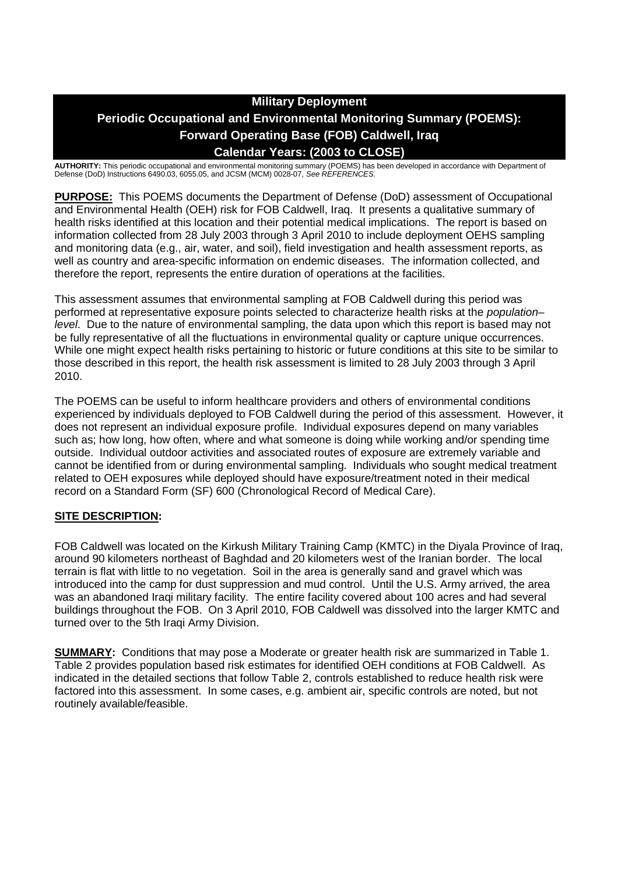# **Military Deployment Periodic Occupational and Environmental Monitoring Summary (POEMS): Forward Operating Base (FOB) Caldwell, Iraq Calendar Years: (2003 to CLOSE)**

**AUTHORITY:** This periodic occupational and environmental monitoring summary (POEMS) has been developed in accordance with Department of Defense (DoD) Instructions 6490.03, 6055.05, and JCSM (MCM) 0028-07, *See REFERENCES.*

**PURPOSE:** This POEMS documents the Department of Defense (DoD) assessment of Occupational and Environmental Health (OEH) risk for FOB Caldwell, Iraq. It presents a qualitative summary of health risks identified at this location and their potential medical implications. The report is based on information collected from 28 July 2003 through 3 April 2010 to include deployment OEHS sampling and monitoring data (e.g., air, water, and soil), field investigation and health assessment reports, as well as country and area-specific information on endemic diseases. The information collected, and therefore the report, represents the entire duration of operations at the facilities.

This assessment assumes that environmental sampling at FOB Caldwell during this period was performed at representative exposure points selected to characterize health risks at the *population– level*. Due to the nature of environmental sampling, the data upon which this report is based may not be fully representative of all the fluctuations in environmental quality or capture unique occurrences. While one might expect health risks pertaining to historic or future conditions at this site to be similar to those described in this report, the health risk assessment is limited to 28 July 2003 through 3 April 2010.

The POEMS can be useful to inform healthcare providers and others of environmental conditions experienced by individuals deployed to FOB Caldwell during the period of this assessment. However, it does not represent an individual exposure profile. Individual exposures depend on many variables such as; how long, how often, where and what someone is doing while working and/or spending time outside. Individual outdoor activities and associated routes of exposure are extremely variable and cannot be identified from or during environmental sampling. Individuals who sought medical treatment related to OEH exposures while deployed should have exposure/treatment noted in their medical record on a Standard Form (SF) 600 (Chronological Record of Medical Care).

# **SITE DESCRIPTION:**

FOB Caldwell was located on the Kirkush Military Training Camp (KMTC) in the Diyala Province of Iraq, around 90 kilometers northeast of Baghdad and 20 kilometers west of the Iranian border. The local terrain is flat with little to no vegetation. Soil in the area is generally sand and gravel which was introduced into the camp for dust suppression and mud control. Until the U.S. Army arrived, the area was an abandoned Iraqi military facility. The entire facility covered about 100 acres and had several buildings throughout the FOB. On 3 April 2010, FOB Caldwell was dissolved into the larger KMTC and turned over to the 5th Iraqi Army Division.

**SUMMARY:** Conditions that may pose a Moderate or greater health risk are summarized in Table 1. Table 2 provides population based risk estimates for identified OEH conditions at FOB Caldwell. As indicated in the detailed sections that follow Table 2, controls established to reduce health risk were factored into this assessment. In some cases, e.g. ambient air, specific controls are noted, but not routinely available/feasible.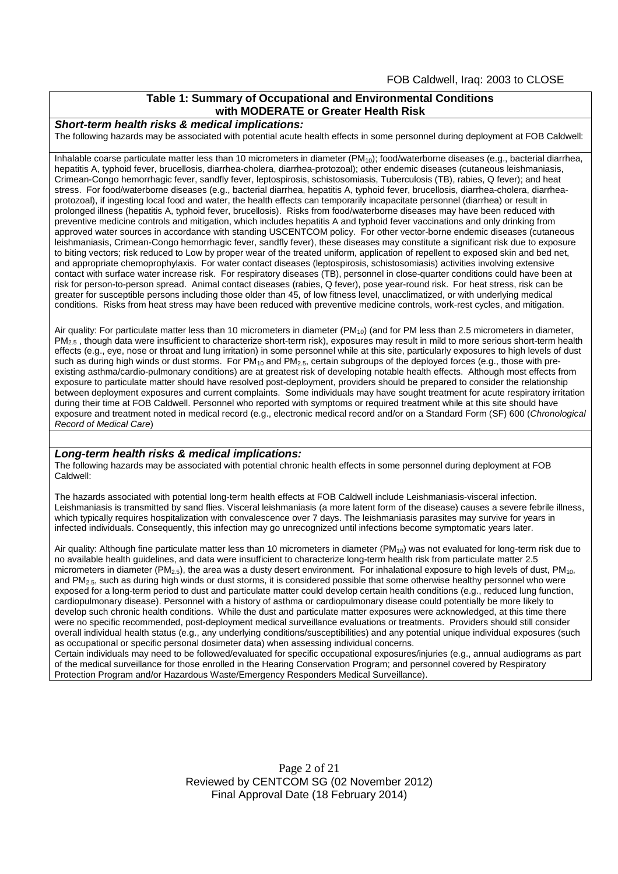## **Table 1: Summary of Occupational and Environmental Conditions with MODERATE or Greater Health Risk**

#### *Short-term health risks & medical implications:*

The following hazards may be associated with potential acute health effects in some personnel during deployment at FOB Caldwell:

Inhalable coarse particulate matter less than 10 micrometers in diameter  $(PM_{10})$ ; food/waterborne diseases (e.g., bacterial diarrhea, hepatitis A, typhoid fever, brucellosis, diarrhea-cholera, diarrhea-protozoal); other endemic diseases (cutaneous leishmaniasis, Crimean-Congo hemorrhagic fever, sandfly fever, leptospirosis, schistosomiasis, Tuberculosis (TB), rabies, Q fever); and heat stress. For food/waterborne diseases (e.g., bacterial diarrhea, hepatitis A, typhoid fever, brucellosis, diarrhea-cholera, diarrheaprotozoal), if ingesting local food and water, the health effects can temporarily incapacitate personnel (diarrhea) or result in prolonged illness (hepatitis A, typhoid fever, brucellosis). Risks from food/waterborne diseases may have been reduced with preventive medicine controls and mitigation, which includes hepatitis A and typhoid fever vaccinations and only drinking from approved water sources in accordance with standing USCENTCOM policy. For other vector-borne endemic diseases (cutaneous leishmaniasis, Crimean-Congo hemorrhagic fever, sandfly fever), these diseases may constitute a significant risk due to exposure to biting vectors; risk reduced to Low by proper wear of the treated uniform, application of repellent to exposed skin and bed net, and appropriate chemoprophylaxis. For water contact diseases (leptospirosis, schistosomiasis) activities involving extensive contact with surface water increase risk. For respiratory diseases (TB), personnel in close-quarter conditions could have been at risk for person-to-person spread. Animal contact diseases (rabies, Q fever), pose year-round risk. For heat stress, risk can be greater for susceptible persons including those older than 45, of low fitness level, unacclimatized, or with underlying medical conditions. Risks from heat stress may have been reduced with preventive medicine controls, work-rest cycles, and mitigation.

Air quality: For particulate matter less than 10 micrometers in diameter (PM<sub>10</sub>) (and for PM less than 2.5 micrometers in diameter, PM<sub>2.5</sub>, though data were insufficient to characterize short-term risk), exposures may result in mild to more serious short-term health effects (e.g., eye, nose or throat and lung irritation) in some personnel while at this site, particularly exposures to high levels of dust such as during high winds or dust storms. For PM<sub>10</sub> and PM<sub>2.5</sub>, certain subgroups of the deployed forces (e.g., those with preexisting asthma/cardio-pulmonary conditions) are at greatest risk of developing notable health effects. Although most effects from exposure to particulate matter should have resolved post-deployment, providers should be prepared to consider the relationship between deployment exposures and current complaints. Some individuals may have sought treatment for acute respiratory irritation during their time at FOB Caldwell. Personnel who reported with symptoms or required treatment while at this site should have exposure and treatment noted in medical record (e.g., electronic medical record and/or on a Standard Form (SF) 600 (*Chronological Record of Medical Care*)

#### *Long-term health risks & medical implications:*

The following hazards may be associated with potential chronic health effects in some personnel during deployment at FOB Caldwell:

The hazards associated with potential long-term health effects at FOB Caldwell include Leishmaniasis-visceral infection. Leishmaniasis is transmitted by sand flies. Visceral leishmaniasis (a more latent form of the disease) causes a severe febrile illness, which typically requires hospitalization with convalescence over 7 days. The leishmaniasis parasites may survive for years in infected individuals. Consequently, this infection may go unrecognized until infections become symptomatic years later.

Air quality: Although fine particulate matter less than 10 micrometers in diameter  $(PM_{10})$  was not evaluated for long-term risk due to no available health guidelines, and data were insufficient to characterize long-term health risk from particulate matter 2.5 micrometers in diameter ( $PM_{2.5}$ ), the area was a dusty desert environment. For inhalational exposure to high levels of dust,  $PM_{10}$ , and PM<sub>2.5</sub>, such as during high winds or dust storms, it is considered possible that some otherwise healthy personnel who were exposed for a long-term period to dust and particulate matter could develop certain health conditions (e.g., reduced lung function, cardiopulmonary disease). Personnel with a history of asthma or cardiopulmonary disease could potentially be more likely to develop such chronic health conditions. While the dust and particulate matter exposures were acknowledged, at this time there were no specific recommended, post-deployment medical surveillance evaluations or treatments. Providers should still consider overall individual health status (e.g., any underlying conditions/susceptibilities) and any potential unique individual exposures (such as occupational or specific personal dosimeter data) when assessing individual concerns.

Certain individuals may need to be followed/evaluated for specific occupational exposures/injuries (e.g., annual audiograms as part of the medical surveillance for those enrolled in the Hearing Conservation Program; and personnel covered by Respiratory Protection Program and/or Hazardous Waste/Emergency Responders Medical Surveillance).

> Page 2 of 21 Reviewed by CENTCOM SG (02 November 2012) Final Approval Date (18 February 2014)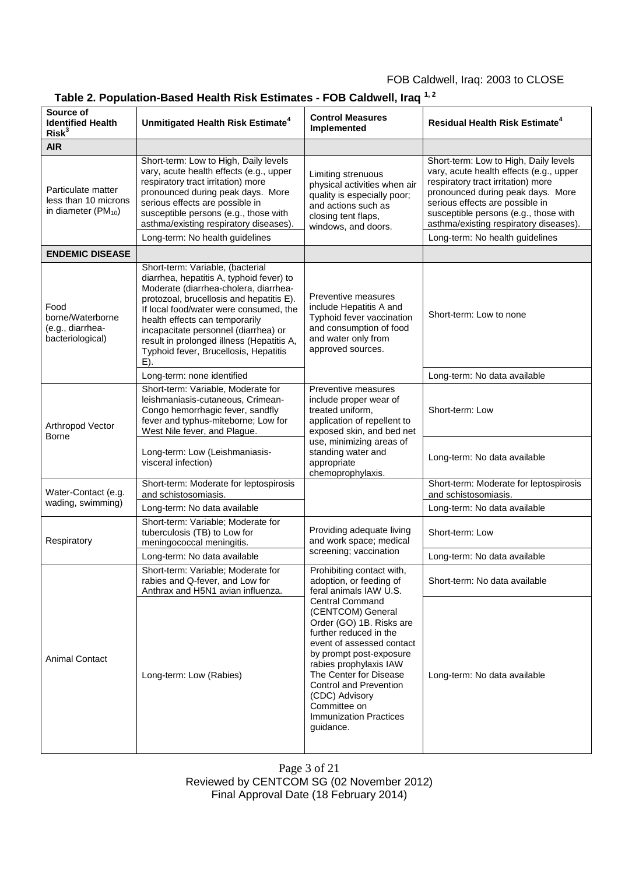# **Table 2. Population-Based Health Risk Estimates - FOB Caldwell, Iraq 1, 2**

| Source of<br><b>Identified Health</b><br>Risk <sup>3</sup>                    | Unmitigated Health Risk Estimate <sup>4</sup>                                                                                                                                                                                                                                                                                                                                      | <b>Control Measures</b><br>Implemented                                                                                                                                                                                                                                                                                                                                                                           | <b>Residual Health Risk Estimate<sup>4</sup></b>                                                                                                                                                                                                                                                                    |
|-------------------------------------------------------------------------------|------------------------------------------------------------------------------------------------------------------------------------------------------------------------------------------------------------------------------------------------------------------------------------------------------------------------------------------------------------------------------------|------------------------------------------------------------------------------------------------------------------------------------------------------------------------------------------------------------------------------------------------------------------------------------------------------------------------------------------------------------------------------------------------------------------|---------------------------------------------------------------------------------------------------------------------------------------------------------------------------------------------------------------------------------------------------------------------------------------------------------------------|
| <b>AIR</b>                                                                    |                                                                                                                                                                                                                                                                                                                                                                                    |                                                                                                                                                                                                                                                                                                                                                                                                                  |                                                                                                                                                                                                                                                                                                                     |
| Particulate matter<br>less than 10 microns<br>in diameter (PM <sub>10</sub> ) | Short-term: Low to High, Daily levels<br>vary, acute health effects (e.g., upper<br>respiratory tract irritation) more<br>pronounced during peak days. More<br>serious effects are possible in<br>susceptible persons (e.g., those with<br>asthma/existing respiratory diseases)<br>Long-term: No health guidelines                                                                | Limiting strenuous<br>physical activities when air<br>quality is especially poor;<br>and actions such as<br>closing tent flaps,<br>windows, and doors.                                                                                                                                                                                                                                                           | Short-term: Low to High, Daily levels<br>vary, acute health effects (e.g., upper<br>respiratory tract irritation) more<br>pronounced during peak days. More<br>serious effects are possible in<br>susceptible persons (e.g., those with<br>asthma/existing respiratory diseases)<br>Long-term: No health guidelines |
| <b>ENDEMIC DISEASE</b>                                                        |                                                                                                                                                                                                                                                                                                                                                                                    |                                                                                                                                                                                                                                                                                                                                                                                                                  |                                                                                                                                                                                                                                                                                                                     |
| Food<br>borne/Waterborne<br>(e.g., diarrhea-<br>bacteriological)              | Short-term: Variable, (bacterial<br>diarrhea, hepatitis A, typhoid fever) to<br>Moderate (diarrhea-cholera, diarrhea-<br>protozoal, brucellosis and hepatitis E).<br>If local food/water were consumed, the<br>health effects can temporarily<br>incapacitate personnel (diarrhea) or<br>result in prolonged illness (Hepatitis A,<br>Typhoid fever, Brucellosis, Hepatitis<br>E). | Preventive measures<br>include Hepatitis A and<br>Typhoid fever vaccination<br>and consumption of food<br>and water only from<br>approved sources.                                                                                                                                                                                                                                                               | Short-term: Low to none                                                                                                                                                                                                                                                                                             |
|                                                                               | Long-term: none identified                                                                                                                                                                                                                                                                                                                                                         |                                                                                                                                                                                                                                                                                                                                                                                                                  | Long-term: No data available                                                                                                                                                                                                                                                                                        |
| Arthropod Vector<br>Borne                                                     | Short-term: Variable, Moderate for<br>leishmaniasis-cutaneous, Crimean-<br>Congo hemorrhagic fever, sandfly<br>fever and typhus-miteborne; Low for<br>West Nile fever, and Plague.                                                                                                                                                                                                 | Preventive measures<br>include proper wear of<br>treated uniform,<br>application of repellent to<br>exposed skin, and bed net<br>use, minimizing areas of<br>standing water and<br>appropriate<br>chemoprophylaxis.                                                                                                                                                                                              | Short-term: Low                                                                                                                                                                                                                                                                                                     |
|                                                                               | Long-term: Low (Leishmaniasis-<br>visceral infection)                                                                                                                                                                                                                                                                                                                              |                                                                                                                                                                                                                                                                                                                                                                                                                  | Long-term: No data available                                                                                                                                                                                                                                                                                        |
| Water-Contact (e.g.                                                           | Short-term: Moderate for leptospirosis<br>and schistosomiasis.                                                                                                                                                                                                                                                                                                                     |                                                                                                                                                                                                                                                                                                                                                                                                                  | Short-term: Moderate for leptospirosis<br>and schistosomiasis.                                                                                                                                                                                                                                                      |
| wading, swimming)                                                             | Long-term: No data available                                                                                                                                                                                                                                                                                                                                                       |                                                                                                                                                                                                                                                                                                                                                                                                                  | Long-term: No data available                                                                                                                                                                                                                                                                                        |
| Respiratory                                                                   | Short-term: Variable; Moderate for<br>tuberculosis (TB) to Low for<br>meningococcal meningitis.                                                                                                                                                                                                                                                                                    | Providing adequate living<br>and work space; medical<br>screening; vaccination                                                                                                                                                                                                                                                                                                                                   | Short-term: Low                                                                                                                                                                                                                                                                                                     |
|                                                                               | Long-term: No data available                                                                                                                                                                                                                                                                                                                                                       |                                                                                                                                                                                                                                                                                                                                                                                                                  | Long-term: No data available                                                                                                                                                                                                                                                                                        |
| Animal Contact                                                                | Short-term: Variable; Moderate for<br>rabies and Q-fever, and Low for<br>Anthrax and H5N1 avian influenza.                                                                                                                                                                                                                                                                         | Prohibiting contact with,<br>adoption, or feeding of<br>feral animals IAW U.S.<br><b>Central Command</b><br>(CENTCOM) General<br>Order (GO) 1B. Risks are<br>further reduced in the<br>event of assessed contact<br>by prompt post-exposure<br>rabies prophylaxis IAW<br>The Center for Disease<br><b>Control and Prevention</b><br>(CDC) Advisory<br>Committee on<br><b>Immunization Practices</b><br>guidance. | Short-term: No data available                                                                                                                                                                                                                                                                                       |
|                                                                               | Long-term: Low (Rabies)                                                                                                                                                                                                                                                                                                                                                            |                                                                                                                                                                                                                                                                                                                                                                                                                  | Long-term: No data available                                                                                                                                                                                                                                                                                        |

Page 3 of 21 Reviewed by CENTCOM SG (02 November 2012) Final Approval Date (18 February 2014)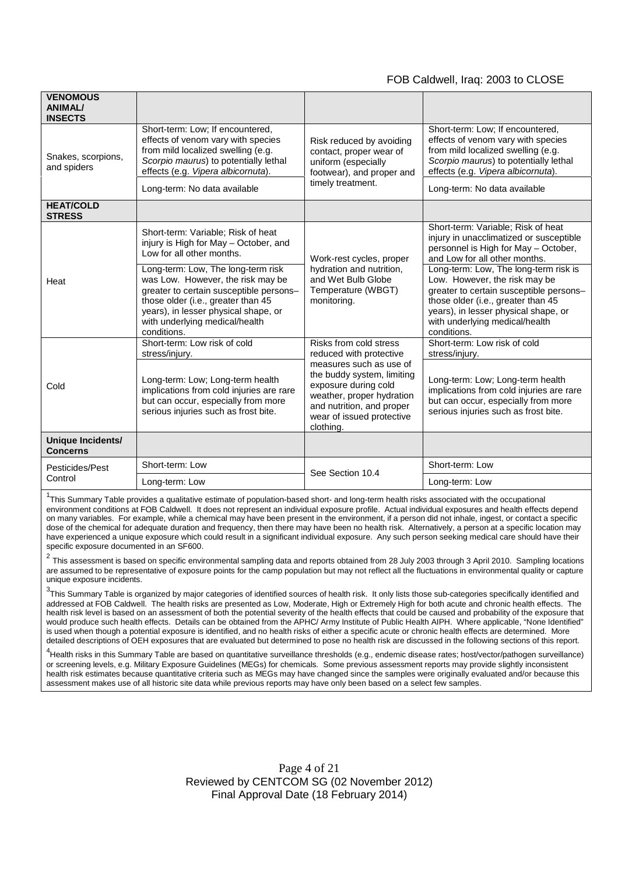| <b>VENOMOUS</b><br><b>ANIMAL/</b><br><b>INSECTS</b> |                                                                                                                                                                                                                                                   |                                                                                                                                                                                                                                        |                                                                                                                                                                                                                                                  |
|-----------------------------------------------------|---------------------------------------------------------------------------------------------------------------------------------------------------------------------------------------------------------------------------------------------------|----------------------------------------------------------------------------------------------------------------------------------------------------------------------------------------------------------------------------------------|--------------------------------------------------------------------------------------------------------------------------------------------------------------------------------------------------------------------------------------------------|
| Snakes, scorpions,<br>and spiders                   | Short-term: Low; If encountered,<br>effects of venom vary with species<br>from mild localized swelling (e.g.<br>Scorpio maurus) to potentially lethal<br>effects (e.g. Vipera albicornuta).                                                       | Risk reduced by avoiding<br>contact, proper wear of<br>uniform (especially<br>footwear), and proper and<br>timely treatment.                                                                                                           | Short-term: Low; If encountered,<br>effects of venom vary with species<br>from mild localized swelling (e.g.<br>Scorpio maurus) to potentially lethal<br>effects (e.g. Vipera albicornuta).                                                      |
|                                                     | Long-term: No data available                                                                                                                                                                                                                      |                                                                                                                                                                                                                                        | Long-term: No data available                                                                                                                                                                                                                     |
| <b>HEAT/COLD</b><br><b>STRESS</b>                   |                                                                                                                                                                                                                                                   |                                                                                                                                                                                                                                        |                                                                                                                                                                                                                                                  |
| Heat                                                | Short-term: Variable; Risk of heat<br>injury is High for May - October, and<br>Low for all other months.                                                                                                                                          | Work-rest cycles, proper<br>hydration and nutrition,<br>and Wet Bulb Globe<br>Temperature (WBGT)<br>monitoring.                                                                                                                        | Short-term: Variable; Risk of heat<br>injury in unacclimatized or susceptible<br>personnel is High for May - October,<br>and Low for all other months.                                                                                           |
|                                                     | Long-term: Low, The long-term risk<br>was Low. However, the risk may be<br>greater to certain susceptible persons-<br>those older (i.e., greater than 45<br>years), in lesser physical shape, or<br>with underlying medical/health<br>conditions. |                                                                                                                                                                                                                                        | Long-term: Low, The long-term risk is<br>Low. However, the risk may be<br>greater to certain susceptible persons-<br>those older (i.e., greater than 45<br>years), in lesser physical shape, or<br>with underlying medical/health<br>conditions. |
| Cold                                                | Short-term: Low risk of cold<br>stress/injury.                                                                                                                                                                                                    | Risks from cold stress<br>reduced with protective<br>measures such as use of<br>the buddy system, limiting<br>exposure during cold<br>weather, proper hydration<br>and nutrition, and proper<br>wear of issued protective<br>clothing. | Short-term: Low risk of cold<br>stress/injury.                                                                                                                                                                                                   |
|                                                     | Long-term: Low; Long-term health<br>implications from cold injuries are rare<br>but can occur, especially from more<br>serious injuries such as frost bite.                                                                                       |                                                                                                                                                                                                                                        | Long-term: Low; Long-term health<br>implications from cold injuries are rare<br>but can occur, especially from more<br>serious injuries such as frost bite.                                                                                      |
| Unique Incidents/<br><b>Concerns</b>                |                                                                                                                                                                                                                                                   |                                                                                                                                                                                                                                        |                                                                                                                                                                                                                                                  |
| Pesticides/Pest<br>Control                          | Short-term: Low                                                                                                                                                                                                                                   | See Section 10.4                                                                                                                                                                                                                       | Short-term: Low                                                                                                                                                                                                                                  |
|                                                     | Long-term: Low                                                                                                                                                                                                                                    |                                                                                                                                                                                                                                        | Long-term: Low                                                                                                                                                                                                                                   |

<sup>1</sup>This Summary Table provides a qualitative estimate of population-based short- and long-term health risks associated with the occupational environment conditions at FOB Caldwell. It does not represent an individual exposure profile. Actual individual exposures and health effects depend on many variables. For example, while a chemical may have been present in the environment, if a person did not inhale, ingest, or contact a specific dose of the chemical for adequate duration and frequency, then there may have been no health risk. Alternatively, a person at a specific location may have experienced a unique exposure which could result in a significant individual exposure. Any such person seeking medical care should have their specific exposure documented in an SF600.

2 This assessment is based on specific environmental sampling data and reports obtained from 28 July 2003 through 3 April 2010. Sampling locations are assumed to be representative of exposure points for the camp population but may not reflect all the fluctuations in environmental quality or capture unique exposure incidents.

<sup>3</sup>This Summary Table is organized by major categories of identified sources of health risk. It only lists those sub-categories specifically identified and addressed at FOB Caldwell. The health risks are presented as Low, Moderate, High or Extremely High for both acute and chronic health effects. The health risk level is based on an assessment of both the potential severity of the health effects that could be caused and probability of the exposure that would produce such health effects. Details can be obtained from the APHC/ Army Institute of Public Health AIPH. Where applicable, "None Identified" is used when though a potential exposure is identified, and no health risks of either a specific acute or chronic health effects are determined. More detailed descriptions of OEH exposures that are evaluated but determined to pose no health risk are discussed in the following sections of this report.

<sup>4</sup>Health risks in this Summary Table are based on quantitative surveillance thresholds (e.g., endemic disease rates; host/vector/pathogen surveillance) or screening levels, e.g. Military Exposure Guidelines (MEGs) for chemicals*.* Some previous assessment reports may provide slightly inconsistent health risk estimates because quantitative criteria such as MEGs may have changed since the samples were originally evaluated and/or because this assessment makes use of all historic site data while previous reports may have only been based on a select few samples.

> Page 4 of 21 Reviewed by CENTCOM SG (02 November 2012) Final Approval Date (18 February 2014)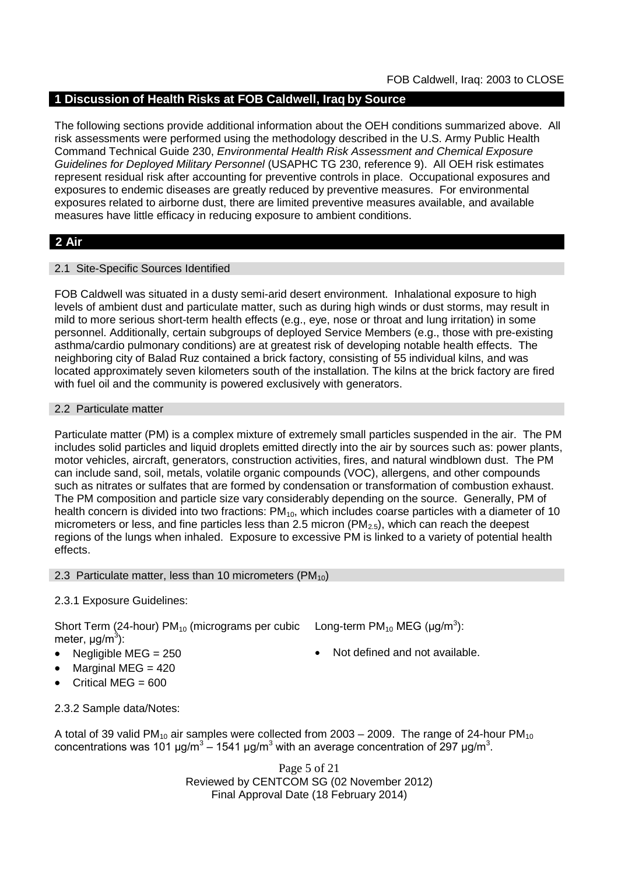# **1 Discussion of Health Risks at FOB Caldwell, Iraq by Source**

The following sections provide additional information about the OEH conditions summarized above. All risk assessments were performed using the methodology described in the U.S. Army Public Health Command Technical Guide 230, *Environmental Health Risk Assessment and Chemical Exposure Guidelines for Deployed Military Personnel* (USAPHC TG 230, reference 9). All OEH risk estimates represent residual risk after accounting for preventive controls in place. Occupational exposures and exposures to endemic diseases are greatly reduced by preventive measures. For environmental exposures related to airborne dust, there are limited preventive measures available, and available measures have little efficacy in reducing exposure to ambient conditions.

# **2 Air**

## 2.1 Site-Specific Sources Identified

FOB Caldwell was situated in a dusty semi-arid desert environment. Inhalational exposure to high levels of ambient dust and particulate matter, such as during high winds or dust storms, may result in mild to more serious short-term health effects (e.g., eye, nose or throat and lung irritation) in some personnel. Additionally, certain subgroups of deployed Service Members (e.g., those with pre-existing asthma/cardio pulmonary conditions) are at greatest risk of developing notable health effects. The neighboring city of Balad Ruz contained a brick factory, consisting of 55 individual kilns, and was located approximately seven kilometers south of the installation. The kilns at the brick factory are fired with fuel oil and the community is powered exclusively with generators.

### 2.2 Particulate matter

Particulate matter (PM) is a complex mixture of extremely small particles suspended in the air. The PM includes solid particles and liquid droplets emitted directly into the air by sources such as: power plants, motor vehicles, aircraft, generators, construction activities, fires, and natural windblown dust. The PM can include sand, soil, metals, volatile organic compounds (VOC), allergens, and other compounds such as nitrates or sulfates that are formed by condensation or transformation of combustion exhaust. The PM composition and particle size vary considerably depending on the source. Generally, PM of health concern is divided into two fractions:  $PM_{10}$ , which includes coarse particles with a diameter of 10 micrometers or less, and fine particles less than 2.5 micron ( $PM<sub>2.5</sub>$ ), which can reach the deepest regions of the lungs when inhaled. Exposure to excessive PM is linked to a variety of potential health effects.

### 2.3 Particulate matter, less than 10 micrometers ( $PM_{10}$ )

# 2.3.1 Exposure Guidelines:

Short Term (24-hour) PM<sub>10</sub> (micrograms per cubic Long-term PM<sub>10</sub> MEG (µg/m<sup>3</sup>): meter, μg/m<sup>3</sup>):

- Negligible MEG = 250 Not defined and not available.
- 
- 
- Marginal MEG  $= 420$
- Critical MEG  $= 600$

2.3.2 Sample data/Notes:

A total of 39 valid PM<sub>10</sub> air samples were collected from  $2003 - 2009$ . The range of 24-hour PM<sub>10</sub> concentrations was 101 μg/m<sup>3</sup> – 1541 μg/m<sup>3</sup> with an average concentration of 297 μg/m<sup>3</sup>.

> Page 5 of 21 Reviewed by CENTCOM SG (02 November 2012) Final Approval Date (18 February 2014)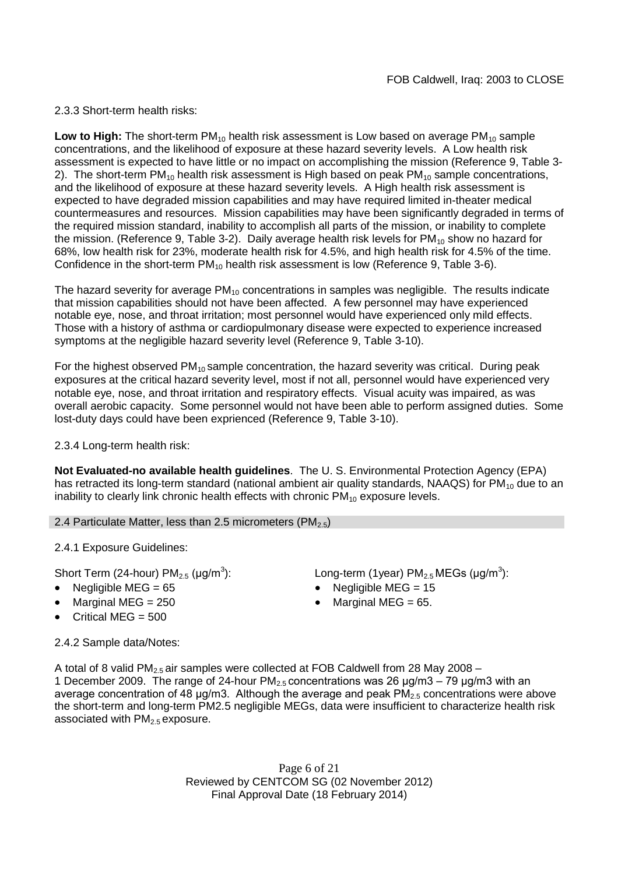## 2.3.3 Short-term health risks:

**Low to High:** The short-term PM<sub>10</sub> health risk assessment is Low based on average PM<sub>10</sub> sample concentrations, and the likelihood of exposure at these hazard severity levels. A Low health risk assessment is expected to have little or no impact on accomplishing the mission (Reference 9, Table 3- 2). The short-term  $PM_{10}$  health risk assessment is High based on peak  $PM_{10}$  sample concentrations, and the likelihood of exposure at these hazard severity levels. A High health risk assessment is expected to have degraded mission capabilities and may have required limited in-theater medical countermeasures and resources. Mission capabilities may have been significantly degraded in terms of the required mission standard, inability to accomplish all parts of the mission, or inability to complete the mission. (Reference 9, Table 3-2). Daily average health risk levels for  $PM_{10}$  show no hazard for 68%, low health risk for 23%, moderate health risk for 4.5%, and high health risk for 4.5% of the time. Confidence in the short-term  $PM_{10}$  health risk assessment is low (Reference 9, Table 3-6).

The hazard severity for average  $PM_{10}$  concentrations in samples was negligible. The results indicate that mission capabilities should not have been affected. A few personnel may have experienced notable eye, nose, and throat irritation; most personnel would have experienced only mild effects. Those with a history of asthma or cardiopulmonary disease were expected to experience increased symptoms at the negligible hazard severity level (Reference 9, Table 3-10).

For the highest observed  $PM_{10}$  sample concentration, the hazard severity was critical. During peak exposures at the critical hazard severity level, most if not all, personnel would have experienced very notable eye, nose, and throat irritation and respiratory effects. Visual acuity was impaired, as was overall aerobic capacity. Some personnel would not have been able to perform assigned duties. Some lost-duty days could have been exprienced (Reference 9, Table 3-10).

### 2.3.4 Long-term health risk:

**Not Evaluated-no available health guidelines**. The U. S. Environmental Protection Agency (EPA) has retracted its long-term standard (national ambient air quality standards, NAAQS) for  $PM_{10}$  due to an inability to clearly link chronic health effects with chronic  $PM_{10}$  exposure levels.

2.4 Particulate Matter, less than 2.5 micrometers ( $PM_{2.5}$ )

2.4.1 Exposure Guidelines:

Short Term (24-hour) PM $_{2.5}$  (µg/m $^3$ 

- 
- 
- Critical MEG = 500

): Long-term (1year)  $PM_{2.5}$ MEGs (µg/m<sup>3</sup>): Negligible MEG = 65 Negligible MEG = 15

Marginal MEG =  $250$   $\bullet$  Marginal MEG =  $65$ .

2.4.2 Sample data/Notes:

A total of 8 valid PM<sub>2.5</sub> air samples were collected at FOB Caldwell from 28 Mav 2008 –

1 December 2009. The range of 24-hour  $PM<sub>2.5</sub>$  concentrations was 26  $\mu q/m3 - 79 \mu q/m3$  with an average concentration of 48  $\mu$ g/m3. Although the average and peak PM<sub>2.5</sub> concentrations were above the short-term and long-term PM2.5 negligible MEGs, data were insufficient to characterize health risk associated with  $PM<sub>2.5</sub>$  exposure.

> Page 6 of 21 Reviewed by CENTCOM SG (02 November 2012) Final Approval Date (18 February 2014)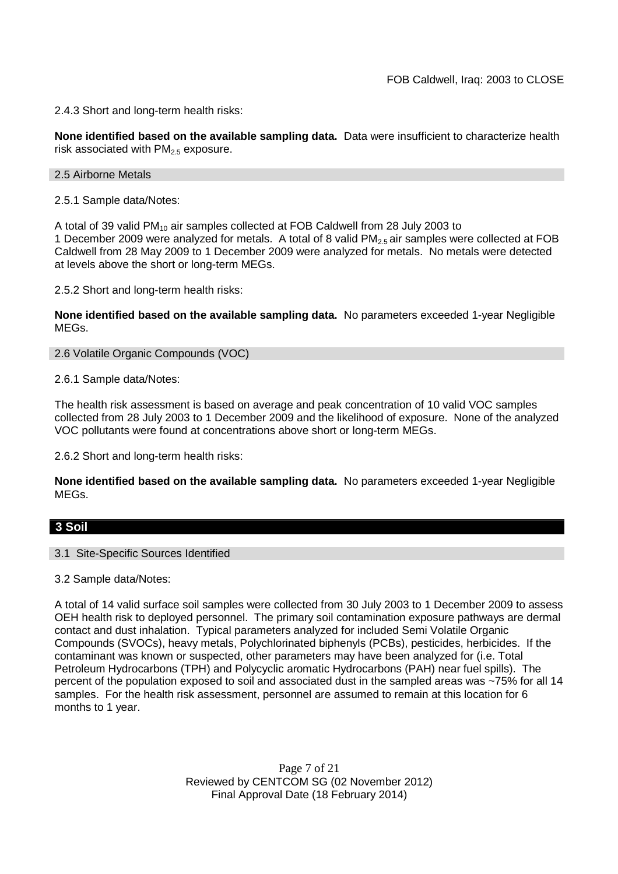2.4.3 Short and long-term health risks:

**None identified based on the available sampling data.** Data were insufficient to characterize health risk associated with  $PM<sub>2.5</sub>$  exposure.

2.5 Airborne Metals

2.5.1 Sample data/Notes:

A total of 39 valid PM<sup>10</sup> air samples collected at FOB Caldwell from 28 July 2003 to 1 December 2009 were analyzed for metals. A total of 8 valid  $PM<sub>2.5</sub>$  air samples were collected at FOB Caldwell from 28 May 2009 to 1 December 2009 were analyzed for metals. No metals were detected at levels above the short or long-term MEGs.

2.5.2 Short and long-term health risks:

**None identified based on the available sampling data.** No parameters exceeded 1-year Negligible MEGs.

2.6 Volatile Organic Compounds (VOC)

2.6.1 Sample data/Notes:

The health risk assessment is based on average and peak concentration of 10 valid VOC samples collected from 28 July 2003 to 1 December 2009 and the likelihood of exposure. None of the analyzed VOC pollutants were found at concentrations above short or long-term MEGs.

2.6.2 Short and long-term health risks:

**None identified based on the available sampling data.** No parameters exceeded 1-year Negligible MEGs.

# **3 Soil**

3.1 Site-Specific Sources Identified

3.2 Sample data/Notes:

A total of 14 valid surface soil samples were collected from 30 July 2003 to 1 December 2009 to assess OEH health risk to deployed personnel. The primary soil contamination exposure pathways are dermal contact and dust inhalation. Typical parameters analyzed for included Semi Volatile Organic Compounds (SVOCs), heavy metals, Polychlorinated biphenyls (PCBs), pesticides, herbicides. If the contaminant was known or suspected, other parameters may have been analyzed for (i.e. Total Petroleum Hydrocarbons (TPH) and Polycyclic aromatic Hydrocarbons (PAH) near fuel spills). The percent of the population exposed to soil and associated dust in the sampled areas was ~75% for all 14 samples. For the health risk assessment, personnel are assumed to remain at this location for 6 months to 1 year.

> Page 7 of 21 Reviewed by CENTCOM SG (02 November 2012) Final Approval Date (18 February 2014)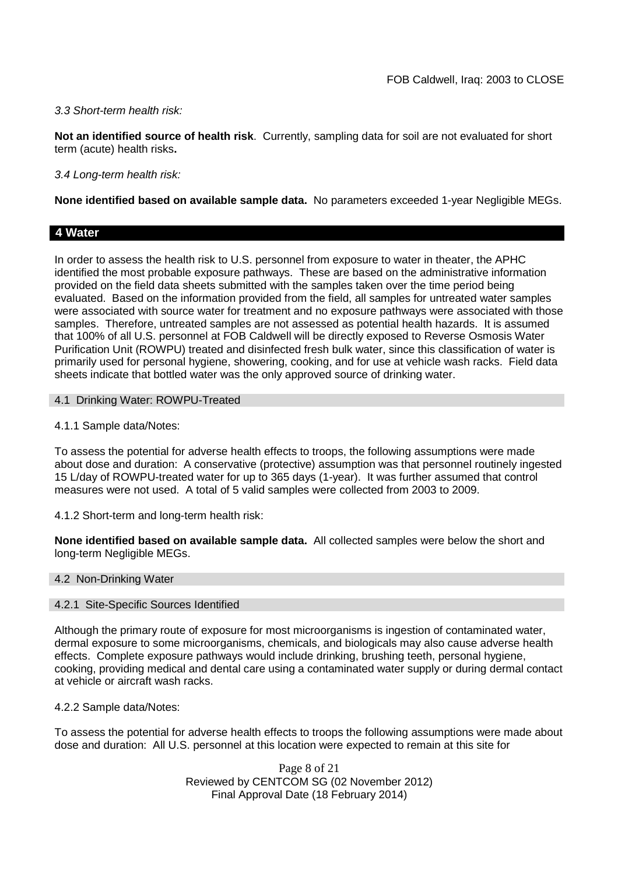## *3.3 Short-term health risk:*

**Not an identified source of health risk**. Currently, sampling data for soil are not evaluated for short term (acute) health risks**.**

## *3.4 Long-term health risk:*

**None identified based on available sample data.** No parameters exceeded 1-year Negligible MEGs.

## **4 Water**

In order to assess the health risk to U.S. personnel from exposure to water in theater, the APHC identified the most probable exposure pathways. These are based on the administrative information provided on the field data sheets submitted with the samples taken over the time period being evaluated. Based on the information provided from the field, all samples for untreated water samples were associated with source water for treatment and no exposure pathways were associated with those samples. Therefore, untreated samples are not assessed as potential health hazards. It is assumed that 100% of all U.S. personnel at FOB Caldwell will be directly exposed to Reverse Osmosis Water Purification Unit (ROWPU) treated and disinfected fresh bulk water, since this classification of water is primarily used for personal hygiene, showering, cooking, and for use at vehicle wash racks. Field data sheets indicate that bottled water was the only approved source of drinking water.

### 4.1 Drinking Water: ROWPU-Treated

4.1.1 Sample data/Notes:

To assess the potential for adverse health effects to troops, the following assumptions were made about dose and duration: A conservative (protective) assumption was that personnel routinely ingested 15 L/day of ROWPU-treated water for up to 365 days (1-year). It was further assumed that control measures were not used. A total of 5 valid samples were collected from 2003 to 2009.

4.1.2 Short-term and long-term health risk:

**None identified based on available sample data.** All collected samples were below the short and long-term Negligible MEGs.

### 4.2 Non-Drinking Water

### 4.2.1 Site-Specific Sources Identified

Although the primary route of exposure for most microorganisms is ingestion of contaminated water, dermal exposure to some microorganisms, chemicals, and biologicals may also cause adverse health effects. Complete exposure pathways would include drinking, brushing teeth, personal hygiene, cooking, providing medical and dental care using a contaminated water supply or during dermal contact at vehicle or aircraft wash racks.

4.2.2 Sample data/Notes:

To assess the potential for adverse health effects to troops the following assumptions were made about dose and duration: All U.S. personnel at this location were expected to remain at this site for

> Page 8 of 21 Reviewed by CENTCOM SG (02 November 2012) Final Approval Date (18 February 2014)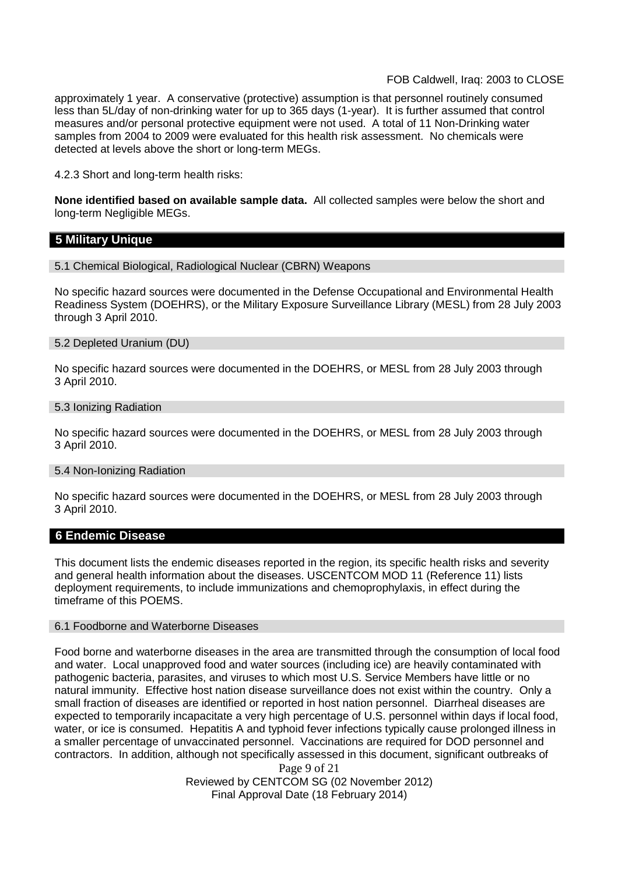approximately 1 year. A conservative (protective) assumption is that personnel routinely consumed less than 5L/day of non-drinking water for up to 365 days (1-year). It is further assumed that control measures and/or personal protective equipment were not used. A total of 11 Non-Drinking water samples from 2004 to 2009 were evaluated for this health risk assessment. No chemicals were detected at levels above the short or long-term MEGs.

4.2.3 Short and long-term health risks:

**None identified based on available sample data.** All collected samples were below the short and long-term Negligible MEGs.

## **5 Military Unique**

5.1 Chemical Biological, Radiological Nuclear (CBRN) Weapons

No specific hazard sources were documented in the Defense Occupational and Environmental Health Readiness System (DOEHRS), or the Military Exposure Surveillance Library (MESL) from 28 July 2003 through 3 April 2010.

#### 5.2 Depleted Uranium (DU)

No specific hazard sources were documented in the DOEHRS, or MESL from 28 July 2003 through 3 April 2010.

#### 5.3 Ionizing Radiation

No specific hazard sources were documented in the DOEHRS, or MESL from 28 July 2003 through 3 April 2010.

#### 5.4 Non-Ionizing Radiation

No specific hazard sources were documented in the DOEHRS, or MESL from 28 July 2003 through 3 April 2010.

### **6 Endemic Disease**

This document lists the endemic diseases reported in the region, its specific health risks and severity and general health information about the diseases. USCENTCOM MOD 11 (Reference 11) lists deployment requirements, to include immunizations and chemoprophylaxis, in effect during the timeframe of this POEMS.

#### 6.1 Foodborne and Waterborne Diseases

Food borne and waterborne diseases in the area are transmitted through the consumption of local food and water. Local unapproved food and water sources (including ice) are heavily contaminated with pathogenic bacteria, parasites, and viruses to which most U.S. Service Members have little or no natural immunity. Effective host nation disease surveillance does not exist within the country. Only a small fraction of diseases are identified or reported in host nation personnel. Diarrheal diseases are expected to temporarily incapacitate a very high percentage of U.S. personnel within days if local food, water, or ice is consumed. Hepatitis A and typhoid fever infections typically cause prolonged illness in a smaller percentage of unvaccinated personnel. Vaccinations are required for DOD personnel and contractors. In addition, although not specifically assessed in this document, significant outbreaks of

Page 9 of 21 Reviewed by CENTCOM SG (02 November 2012) Final Approval Date (18 February 2014)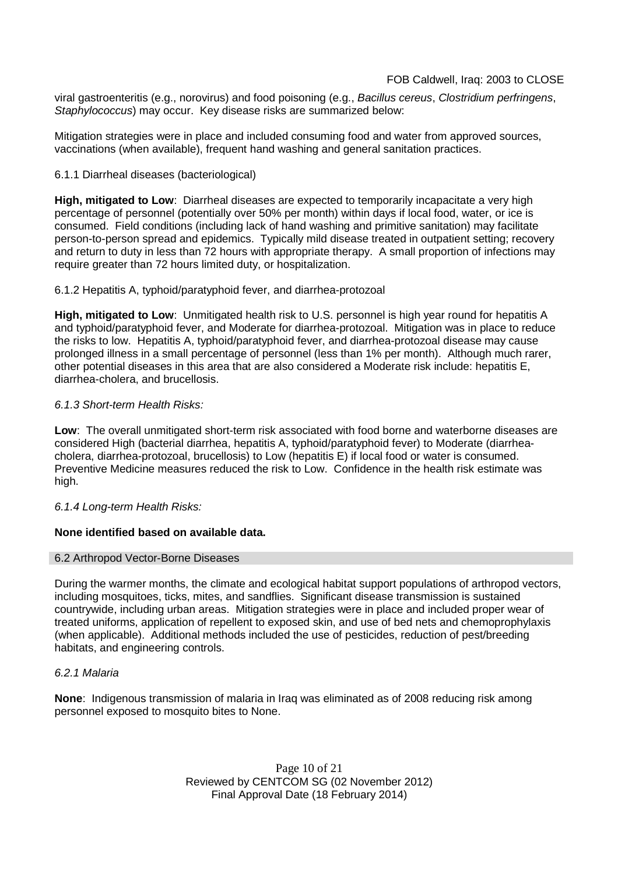viral gastroenteritis (e.g., norovirus) and food poisoning (e.g., *Bacillus cereus*, *Clostridium perfringens*, *Staphylococcus*) may occur. Key disease risks are summarized below:

Mitigation strategies were in place and included consuming food and water from approved sources, vaccinations (when available), frequent hand washing and general sanitation practices.

## 6.1.1 Diarrheal diseases (bacteriological)

**High, mitigated to Low**: Diarrheal diseases are expected to temporarily incapacitate a very high percentage of personnel (potentially over 50% per month) within days if local food, water, or ice is consumed. Field conditions (including lack of hand washing and primitive sanitation) may facilitate person-to-person spread and epidemics. Typically mild disease treated in outpatient setting; recovery and return to duty in less than 72 hours with appropriate therapy. A small proportion of infections may require greater than 72 hours limited duty, or hospitalization.

## 6.1.2 Hepatitis A, typhoid/paratyphoid fever, and diarrhea-protozoal

**High, mitigated to Low**: Unmitigated health risk to U.S. personnel is high year round for hepatitis A and typhoid/paratyphoid fever, and Moderate for diarrhea-protozoal. Mitigation was in place to reduce the risks to low. Hepatitis A, typhoid/paratyphoid fever, and diarrhea-protozoal disease may cause prolonged illness in a small percentage of personnel (less than 1% per month). Although much rarer, other potential diseases in this area that are also considered a Moderate risk include: hepatitis E, diarrhea-cholera, and brucellosis.

## *6.1.3 Short-term Health Risks:*

**Low**: The overall unmitigated short-term risk associated with food borne and waterborne diseases are considered High (bacterial diarrhea, hepatitis A, typhoid/paratyphoid fever) to Moderate (diarrheacholera, diarrhea-protozoal, brucellosis) to Low (hepatitis E) if local food or water is consumed. Preventive Medicine measures reduced the risk to Low. Confidence in the health risk estimate was high.

# *6.1.4 Long-term Health Risks:*

# **None identified based on available data.**

### 6.2 Arthropod Vector-Borne Diseases

During the warmer months, the climate and ecological habitat support populations of arthropod vectors, including mosquitoes, ticks, mites, and sandflies. Significant disease transmission is sustained countrywide, including urban areas. Mitigation strategies were in place and included proper wear of treated uniforms, application of repellent to exposed skin, and use of bed nets and chemoprophylaxis (when applicable). Additional methods included the use of pesticides, reduction of pest/breeding habitats, and engineering controls.

### *6.2.1 Malaria*

**None**: Indigenous transmission of malaria in Iraq was eliminated as of 2008 reducing risk among personnel exposed to mosquito bites to None.

> Page 10 of 21 Reviewed by CENTCOM SG (02 November 2012) Final Approval Date (18 February 2014)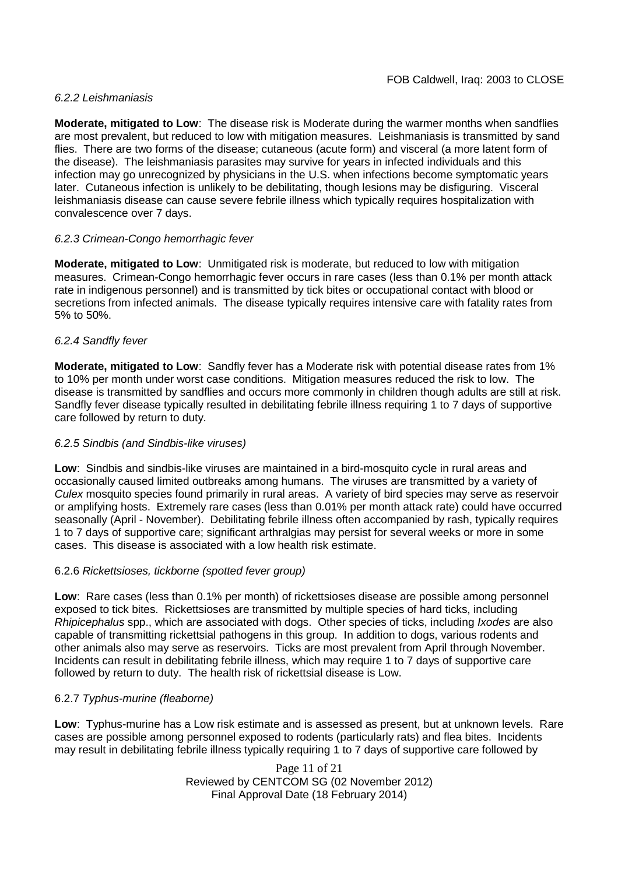## *6.2.2 Leishmaniasis*

**Moderate, mitigated to Low**: The disease risk is Moderate during the warmer months when sandflies are most prevalent, but reduced to low with mitigation measures. Leishmaniasis is transmitted by sand flies. There are two forms of the disease; cutaneous (acute form) and visceral (a more latent form of the disease). The leishmaniasis parasites may survive for years in infected individuals and this infection may go unrecognized by physicians in the U.S. when infections become symptomatic years later. Cutaneous infection is unlikely to be debilitating, though lesions may be disfiguring. Visceral leishmaniasis disease can cause severe febrile illness which typically requires hospitalization with convalescence over 7 days.

# *6.2.3 Crimean-Congo hemorrhagic fever*

**Moderate, mitigated to Low**: Unmitigated risk is moderate, but reduced to low with mitigation measures. Crimean-Congo hemorrhagic fever occurs in rare cases (less than 0.1% per month attack rate in indigenous personnel) and is transmitted by tick bites or occupational contact with blood or secretions from infected animals. The disease typically requires intensive care with fatality rates from 5% to 50%.

## *6.2.4 Sandfly fever*

**Moderate, mitigated to Low**: Sandfly fever has a Moderate risk with potential disease rates from 1% to 10% per month under worst case conditions. Mitigation measures reduced the risk to low. The disease is transmitted by sandflies and occurs more commonly in children though adults are still at risk. Sandfly fever disease typically resulted in debilitating febrile illness requiring 1 to 7 days of supportive care followed by return to duty.

## *6.2.5 Sindbis (and Sindbis-like viruses)*

**Low**: Sindbis and sindbis-like viruses are maintained in a bird-mosquito cycle in rural areas and occasionally caused limited outbreaks among humans. The viruses are transmitted by a variety of *Culex* mosquito species found primarily in rural areas. A variety of bird species may serve as reservoir or amplifying hosts. Extremely rare cases (less than 0.01% per month attack rate) could have occurred seasonally (April - November). Debilitating febrile illness often accompanied by rash, typically requires 1 to 7 days of supportive care; significant arthralgias may persist for several weeks or more in some cases. This disease is associated with a low health risk estimate.

### 6.2.6 *Rickettsioses, tickborne (spotted fever group)*

**Low**: Rare cases (less than 0.1% per month) of rickettsioses disease are possible among personnel exposed to tick bites. Rickettsioses are transmitted by multiple species of hard ticks, including *Rhipicephalus* spp., which are associated with dogs. Other species of ticks, including *Ixodes* are also capable of transmitting rickettsial pathogens in this group. In addition to dogs, various rodents and other animals also may serve as reservoirs. Ticks are most prevalent from April through November. Incidents can result in debilitating febrile illness, which may require 1 to 7 days of supportive care followed by return to duty. The health risk of rickettsial disease is Low.

### 6.2.7 *Typhus-murine (fleaborne)*

**Low**: Typhus-murine has a Low risk estimate and is assessed as present, but at unknown levels. Rare cases are possible among personnel exposed to rodents (particularly rats) and flea bites. Incidents may result in debilitating febrile illness typically requiring 1 to 7 days of supportive care followed by

> Page 11 of 21 Reviewed by CENTCOM SG (02 November 2012) Final Approval Date (18 February 2014)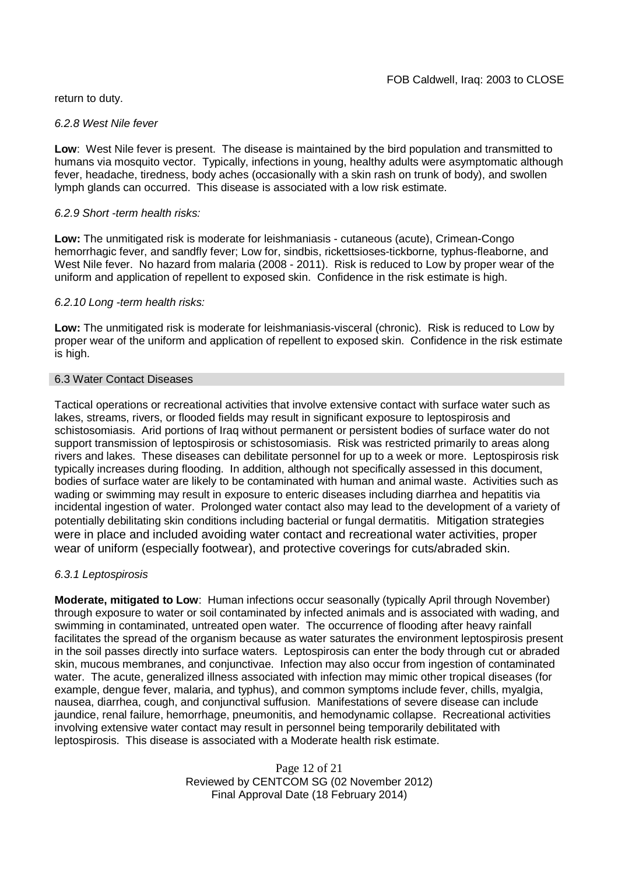return to duty.

#### *6.2.8 West Nile fever*

**Low**: West Nile fever is present. The disease is maintained by the bird population and transmitted to humans via mosquito vector. Typically, infections in young, healthy adults were asymptomatic although fever, headache, tiredness, body aches (occasionally with a skin rash on trunk of body), and swollen lymph glands can occurred. This disease is associated with a low risk estimate.

### *6.2.9 Short -term health risks:*

**Low:** The unmitigated risk is moderate for leishmaniasis - cutaneous (acute), Crimean-Congo hemorrhagic fever, and sandfly fever; Low for, sindbis, rickettsioses-tickborne*,* typhus-fleaborne, and West Nile fever. No hazard from malaria (2008 - 2011). Risk is reduced to Low by proper wear of the uniform and application of repellent to exposed skin. Confidence in the risk estimate is high.

### *6.2.10 Long -term health risks:*

**Low:** The unmitigated risk is moderate for leishmaniasis-visceral (chronic). Risk is reduced to Low by proper wear of the uniform and application of repellent to exposed skin. Confidence in the risk estimate is high.

### 6.3 Water Contact Diseases

Tactical operations or recreational activities that involve extensive contact with surface water such as lakes, streams, rivers, or flooded fields may result in significant exposure to leptospirosis and schistosomiasis. Arid portions of Iraq without permanent or persistent bodies of surface water do not support transmission of leptospirosis or schistosomiasis. Risk was restricted primarily to areas along rivers and lakes. These diseases can debilitate personnel for up to a week or more. Leptospirosis risk typically increases during flooding. In addition, although not specifically assessed in this document, bodies of surface water are likely to be contaminated with human and animal waste. Activities such as wading or swimming may result in exposure to enteric diseases including diarrhea and hepatitis via incidental ingestion of water. Prolonged water contact also may lead to the development of a variety of potentially debilitating skin conditions including bacterial or fungal dermatitis. Mitigation strategies were in place and included avoiding water contact and recreational water activities, proper wear of uniform (especially footwear), and protective coverings for cuts/abraded skin.

### *6.3.1 Leptospirosis*

**Moderate, mitigated to Low**: Human infections occur seasonally (typically April through November) through exposure to water or soil contaminated by infected animals and is associated with wading, and swimming in contaminated, untreated open water. The occurrence of flooding after heavy rainfall facilitates the spread of the organism because as water saturates the environment leptospirosis present in the soil passes directly into surface waters. Leptospirosis can enter the body through cut or abraded skin, mucous membranes, and conjunctivae. Infection may also occur from ingestion of contaminated water. The acute, generalized illness associated with infection may mimic other tropical diseases (for example, dengue fever, malaria, and typhus), and common symptoms include fever, chills, myalgia, nausea, diarrhea, cough, and conjunctival suffusion. Manifestations of severe disease can include jaundice, renal failure, hemorrhage, pneumonitis, and hemodynamic collapse. Recreational activities involving extensive water contact may result in personnel being temporarily debilitated with leptospirosis. This disease is associated with a Moderate health risk estimate.

> Page 12 of 21 Reviewed by CENTCOM SG (02 November 2012) Final Approval Date (18 February 2014)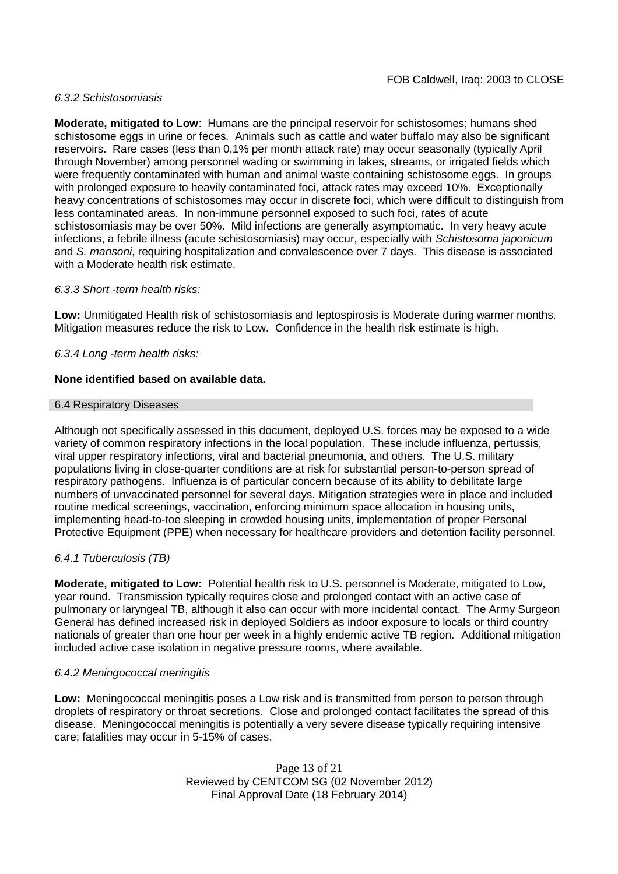## *6.3.2 Schistosomiasis*

**Moderate, mitigated to Low**: Humans are the principal reservoir for schistosomes; humans shed schistosome eggs in urine or feces. Animals such as cattle and water buffalo may also be significant reservoirs. Rare cases (less than 0.1% per month attack rate) may occur seasonally (typically April through November) among personnel wading or swimming in lakes, streams, or irrigated fields which were frequently contaminated with human and animal waste containing schistosome eggs. In groups with prolonged exposure to heavily contaminated foci, attack rates may exceed 10%. Exceptionally heavy concentrations of schistosomes may occur in discrete foci, which were difficult to distinguish from less contaminated areas. In non-immune personnel exposed to such foci, rates of acute schistosomiasis may be over 50%. Mild infections are generally asymptomatic. In very heavy acute infections, a febrile illness (acute schistosomiasis) may occur, especially with *Schistosoma japonicum* and *S. mansoni*, requiring hospitalization and convalescence over 7 days. This disease is associated with a Moderate health risk estimate.

## *6.3.3 Short -term health risks:*

**Low:** Unmitigated Health risk of schistosomiasis and leptospirosis is Moderate during warmer months. Mitigation measures reduce the risk to Low. Confidence in the health risk estimate is high.

## *6.3.4 Long -term health risks:*

## **None identified based on available data.**

### 6.4 Respiratory Diseases

Although not specifically assessed in this document, deployed U.S. forces may be exposed to a wide variety of common respiratory infections in the local population. These include influenza, pertussis, viral upper respiratory infections, viral and bacterial pneumonia, and others. The U.S. military populations living in close-quarter conditions are at risk for substantial person-to-person spread of respiratory pathogens. Influenza is of particular concern because of its ability to debilitate large numbers of unvaccinated personnel for several days. Mitigation strategies were in place and included routine medical screenings, vaccination, enforcing minimum space allocation in housing units, implementing head-to-toe sleeping in crowded housing units, implementation of proper Personal Protective Equipment (PPE) when necessary for healthcare providers and detention facility personnel.

### *6.4.1 Tuberculosis (TB)*

**Moderate, mitigated to Low:** Potential health risk to U.S. personnel is Moderate, mitigated to Low, year round. Transmission typically requires close and prolonged contact with an active case of pulmonary or laryngeal TB, although it also can occur with more incidental contact. The Army Surgeon General has defined increased risk in deployed Soldiers as indoor exposure to locals or third country nationals of greater than one hour per week in a highly endemic active TB region. Additional mitigation included active case isolation in negative pressure rooms, where available.

### *6.4.2 Meningococcal meningitis*

**Low:** Meningococcal meningitis poses a Low risk and is transmitted from person to person through droplets of respiratory or throat secretions. Close and prolonged contact facilitates the spread of this disease. Meningococcal meningitis is potentially a very severe disease typically requiring intensive care; fatalities may occur in 5-15% of cases.

> Page 13 of 21 Reviewed by CENTCOM SG (02 November 2012) Final Approval Date (18 February 2014)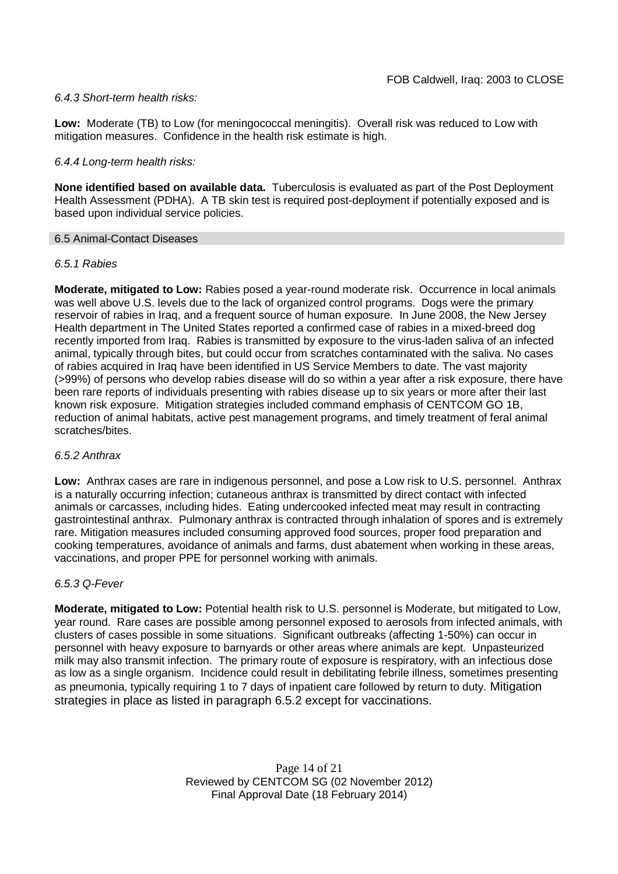## *6.4.3 Short-term health risks:*

**Low:** Moderate (TB) to Low (for meningococcal meningitis). Overall risk was reduced to Low with mitigation measures. Confidence in the health risk estimate is high.

## *6.4.4 Long-term health risks:*

**None identified based on available data.** Tuberculosis is evaluated as part of the Post Deployment Health Assessment (PDHA). A TB skin test is required post-deployment if potentially exposed and is based upon individual service policies.

### 6.5 Animal-Contact Diseases

## *6.5.1 Rabies*

**Moderate, mitigated to Low:** Rabies posed a year-round moderate risk. Occurrence in local animals was well above U.S. levels due to the lack of organized control programs. Dogs were the primary reservoir of rabies in Iraq, and a frequent source of human exposure. In June 2008, the New Jersey Health department in The United States reported a confirmed case of rabies in a mixed-breed dog recently imported from Iraq. Rabies is transmitted by exposure to the virus-laden saliva of an infected animal, typically through bites, but could occur from scratches contaminated with the saliva. No cases of rabies acquired in Iraq have been identified in US Service Members to date. The vast majority (>99%) of persons who develop rabies disease will do so within a year after a risk exposure, there have been rare reports of individuals presenting with rabies disease up to six years or more after their last known risk exposure. Mitigation strategies included command emphasis of CENTCOM GO 1B, reduction of animal habitats, active pest management programs, and timely treatment of feral animal scratches/bites.

### *6.5.2 Anthrax*

**Low:** Anthrax cases are rare in indigenous personnel, and pose a Low risk to U.S. personnel. Anthrax is a naturally occurring infection; cutaneous anthrax is transmitted by direct contact with infected animals or carcasses, including hides. Eating undercooked infected meat may result in contracting gastrointestinal anthrax. Pulmonary anthrax is contracted through inhalation of spores and is extremely rare. Mitigation measures included consuming approved food sources, proper food preparation and cooking temperatures, avoidance of animals and farms, dust abatement when working in these areas, vaccinations, and proper PPE for personnel working with animals.

## *6.5.3 Q-Fever*

**Moderate, mitigated to Low:** Potential health risk to U.S. personnel is Moderate, but mitigated to Low, year round. Rare cases are possible among personnel exposed to aerosols from infected animals, with clusters of cases possible in some situations. Significant outbreaks (affecting 1-50%) can occur in personnel with heavy exposure to barnyards or other areas where animals are kept. Unpasteurized milk may also transmit infection. The primary route of exposure is respiratory, with an infectious dose as low as a single organism. Incidence could result in debilitating febrile illness, sometimes presenting as pneumonia, typically requiring 1 to 7 days of inpatient care followed by return to duty. Mitigation strategies in place as listed in paragraph 6.5.2 except for vaccinations.

> Page 14 of 21 Reviewed by CENTCOM SG (02 November 2012) Final Approval Date (18 February 2014)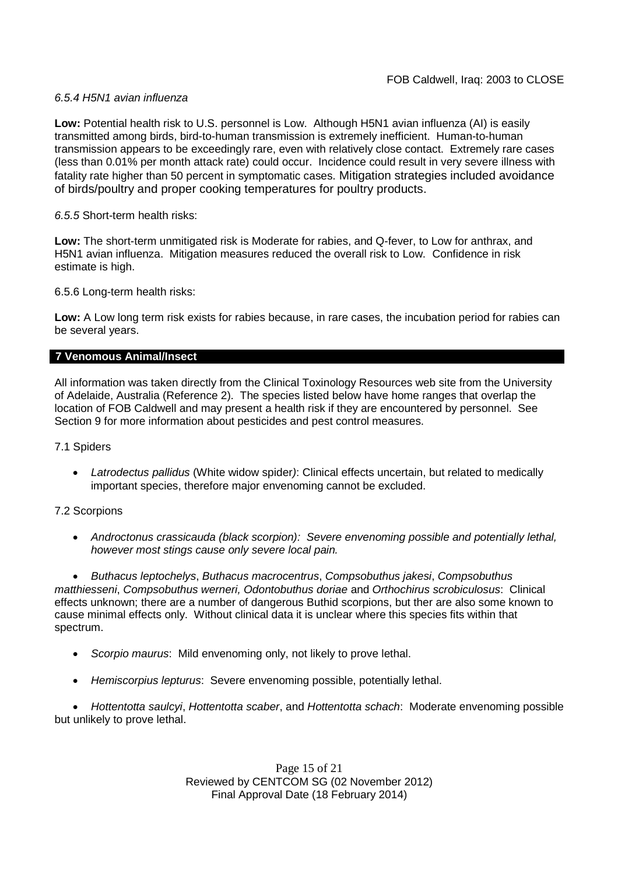## *6.5.4 H5N1 avian influenza*

**Low:** Potential health risk to U.S. personnel is Low. Although H5N1 avian influenza (AI) is easily transmitted among birds, bird-to-human transmission is extremely inefficient. Human-to-human transmission appears to be exceedingly rare, even with relatively close contact. Extremely rare cases (less than 0.01% per month attack rate) could occur. Incidence could result in very severe illness with fatality rate higher than 50 percent in symptomatic cases. Mitigation strategies included avoidance of birds/poultry and proper cooking temperatures for poultry products.

## *6.5.5* Short-term health risks:

**Low:** The short-term unmitigated risk is Moderate for rabies, and Q-fever, to Low for anthrax, and H5N1 avian influenza. Mitigation measures reduced the overall risk to Low. Confidence in risk estimate is high.

6.5.6 Long-term health risks:

**Low:** A Low long term risk exists for rabies because, in rare cases, the incubation period for rabies can be several years.

## **7 Venomous Animal/Insect**

All information was taken directly from the Clinical Toxinology Resources web site from the University of Adelaide, Australia (Reference 2). The species listed below have home ranges that overlap the location of FOB Caldwell and may present a health risk if they are encountered by personnel. See Section 9 for more information about pesticides and pest control measures.

### 7.1 Spiders

 *Latrodectus pallidus* (White widow spider*)*: Clinical effects uncertain, but related to medically important species, therefore major envenoming cannot be excluded.

# 7.2 Scorpions

 *Androctonus crassicauda (black scorpion): Severe envenoming possible and potentially lethal, however most stings cause only severe local pain.*

 *Buthacus leptochelys*, *Buthacus macrocentrus*, *Compsobuthus jakesi*, *Compsobuthus matthiesseni*, *Compsobuthus werneri, Odontobuthus doriae* and *Orthochirus scrobiculosus*: Clinical effects unknown; there are a number of dangerous Buthid scorpions, but ther are also some known to cause minimal effects only. Without clinical data it is unclear where this species fits within that spectrum.

- *Scorpio maurus*: Mild envenoming only, not likely to prove lethal.
- *Hemiscorpius lepturus*: Severe envenoming possible, potentially lethal.

 *Hottentotta saulcyi*, *Hottentotta scaber*, and *Hottentotta schach*: Moderate envenoming possible but unlikely to prove lethal.

> Page 15 of 21 Reviewed by CENTCOM SG (02 November 2012) Final Approval Date (18 February 2014)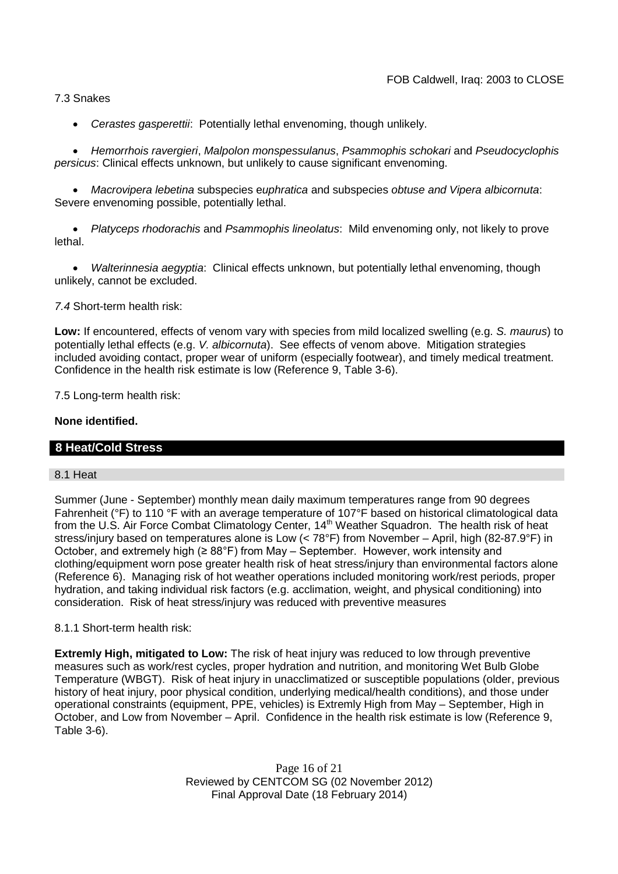7.3 Snakes

*Cerastes gasperettii*: Potentially lethal envenoming, though unlikely.

 *Hemorrhois ravergieri*, *Malpolon monspessulanus*, *Psammophis schokari* and *Pseudocyclophis persicus*: Clinical effects unknown, but unlikely to cause significant envenoming.

 *Macrovipera lebetina* subspecies e*uphratica* and subspecies *obtuse and Vipera albicornuta*: Severe envenoming possible, potentially lethal.

 *Platyceps rhodorachis* and *Psammophis lineolatus*: Mild envenoming only, not likely to prove lethal.

 *Walterinnesia aegyptia*: Clinical effects unknown, but potentially lethal envenoming, though unlikely, cannot be excluded.

*7.4* Short-term health risk:

**Low:** If encountered, effects of venom vary with species from mild localized swelling (e.g. *S. maurus*) to potentially lethal effects (e.g. *V. albicornuta*). See effects of venom above. Mitigation strategies included avoiding contact, proper wear of uniform (especially footwear), and timely medical treatment. Confidence in the health risk estimate is low (Reference 9, Table 3-6).

7.5 Long-term health risk:

## **None identified.**

# **8 Heat/Cold Stress**

## 8.1 Heat

Summer (June - September) monthly mean daily maximum temperatures range from 90 degrees Fahrenheit (°F) to 110 °F with an average temperature of 107°F based on historical climatological data from the U.S. Air Force Combat Climatology Center, 14<sup>th</sup> Weather Squadron. The health risk of heat stress/injury based on temperatures alone is Low (< 78°F) from November – April, high (82-87.9°F) in October, and extremely high (≥ 88°F) from May – September. However, work intensity and clothing/equipment worn pose greater health risk of heat stress/injury than environmental factors alone (Reference 6). Managing risk of hot weather operations included monitoring work/rest periods, proper hydration, and taking individual risk factors (e.g. acclimation, weight, and physical conditioning) into consideration. Risk of heat stress/injury was reduced with preventive measures

### 8.1.1 Short-term health risk:

**Extremly High, mitigated to Low:** The risk of heat injury was reduced to low through preventive measures such as work/rest cycles, proper hydration and nutrition, and monitoring Wet Bulb Globe Temperature (WBGT). Risk of heat injury in unacclimatized or susceptible populations (older, previous history of heat injury, poor physical condition, underlying medical/health conditions), and those under operational constraints (equipment, PPE, vehicles) is Extremly High from May – September, High in October, and Low from November – April. Confidence in the health risk estimate is low (Reference 9, Table 3-6).

> Page 16 of 21 Reviewed by CENTCOM SG (02 November 2012) Final Approval Date (18 February 2014)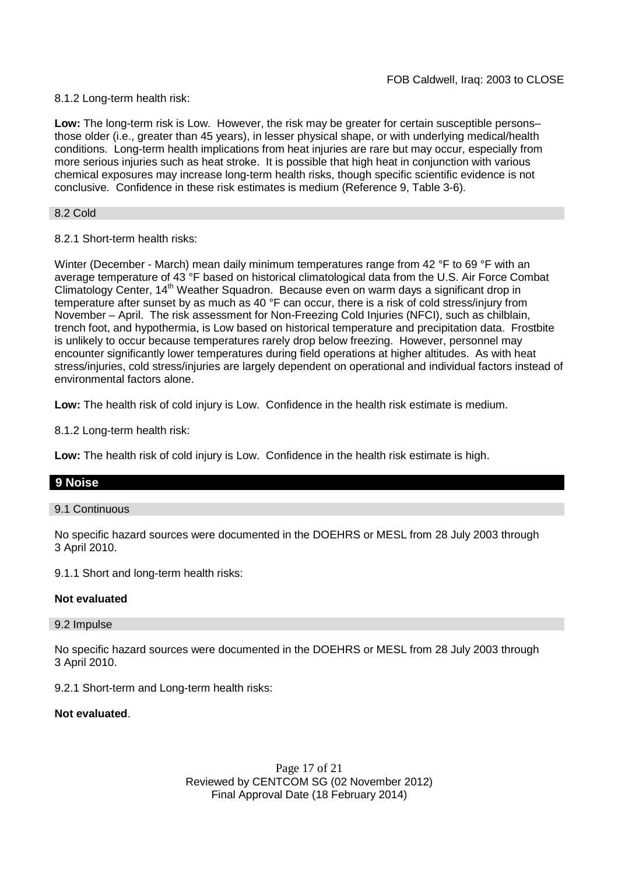8.1.2 Long-term health risk:

**Low:** The long-term risk is Low. However, the risk may be greater for certain susceptible persons– those older (i.e., greater than 45 years), in lesser physical shape, or with underlying medical/health conditions. Long-term health implications from heat injuries are rare but may occur, especially from more serious injuries such as heat stroke. It is possible that high heat in conjunction with various chemical exposures may increase long-term health risks, though specific scientific evidence is not conclusive. Confidence in these risk estimates is medium (Reference 9, Table 3-6).

8.2 Cold

# 8.2.1 Short-term health risks:

Winter (December - March) mean daily minimum temperatures range from 42 °F to 69 °F with an average temperature of 43 °F based on historical climatological data from the U.S. Air Force Combat Climatology Center, 14<sup>th</sup> Weather Squadron. Because even on warm days a significant drop in temperature after sunset by as much as 40 °F can occur, there is a risk of cold stress/injury from November – April. The risk assessment for Non-Freezing Cold Injuries (NFCI), such as chilblain, trench foot, and hypothermia, is Low based on historical temperature and precipitation data. Frostbite is unlikely to occur because temperatures rarely drop below freezing. However, personnel may encounter significantly lower temperatures during field operations at higher altitudes. As with heat stress/injuries, cold stress/injuries are largely dependent on operational and individual factors instead of environmental factors alone.

**Low:** The health risk of cold injury is Low. Confidence in the health risk estimate is medium.

8.1.2 Long-term health risk:

**Low:** The health risk of cold injury is Low. Confidence in the health risk estimate is high.

# **9 Noise**

9.1 Continuous

No specific hazard sources were documented in the DOEHRS or MESL from 28 July 2003 through 3 April 2010.

9.1.1 Short and long-term health risks:

### **Not evaluated**

### 9.2 Impulse

No specific hazard sources were documented in the DOEHRS or MESL from 28 July 2003 through 3 April 2010.

9.2.1 Short-term and Long-term health risks:

### **Not evaluated**.

Page 17 of 21 Reviewed by CENTCOM SG (02 November 2012) Final Approval Date (18 February 2014)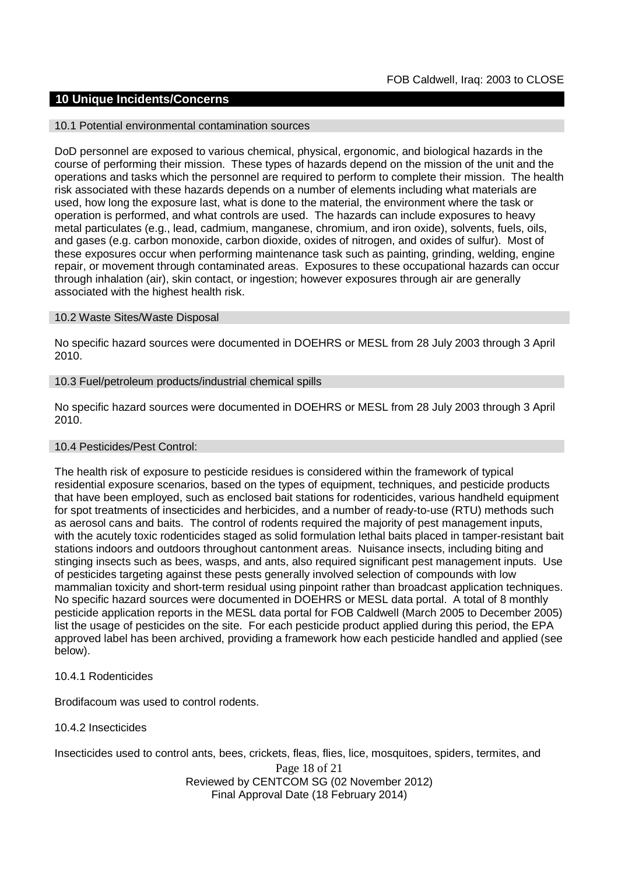## **10 Unique Incidents/Concerns**

#### 10.1 Potential environmental contamination sources

DoD personnel are exposed to various chemical, physical, ergonomic, and biological hazards in the course of performing their mission. These types of hazards depend on the mission of the unit and the operations and tasks which the personnel are required to perform to complete their mission. The health risk associated with these hazards depends on a number of elements including what materials are used, how long the exposure last, what is done to the material, the environment where the task or operation is performed, and what controls are used. The hazards can include exposures to heavy metal particulates (e.g., lead, cadmium, manganese, chromium, and iron oxide), solvents, fuels, oils, and gases (e.g. carbon monoxide, carbon dioxide, oxides of nitrogen, and oxides of sulfur). Most of these exposures occur when performing maintenance task such as painting, grinding, welding, engine repair, or movement through contaminated areas. Exposures to these occupational hazards can occur through inhalation (air), skin contact, or ingestion; however exposures through air are generally associated with the highest health risk.

#### 10.2 Waste Sites/Waste Disposal

No specific hazard sources were documented in DOEHRS or MESL from 28 July 2003 through 3 April 2010.

### 10.3 Fuel/petroleum products/industrial chemical spills

No specific hazard sources were documented in DOEHRS or MESL from 28 July 2003 through 3 April 2010.

#### 10.4 Pesticides/Pest Control:

The health risk of exposure to pesticide residues is considered within the framework of typical residential exposure scenarios, based on the types of equipment, techniques, and pesticide products that have been employed, such as enclosed bait stations for rodenticides, various handheld equipment for spot treatments of insecticides and herbicides, and a number of ready-to-use (RTU) methods such as aerosol cans and baits. The control of rodents required the majority of pest management inputs, with the acutely toxic rodenticides staged as solid formulation lethal baits placed in tamper-resistant bait stations indoors and outdoors throughout cantonment areas. Nuisance insects, including biting and stinging insects such as bees, wasps, and ants, also required significant pest management inputs. Use of pesticides targeting against these pests generally involved selection of compounds with low mammalian toxicity and short-term residual using pinpoint rather than broadcast application techniques. No specific hazard sources were documented in DOEHRS or MESL data portal. A total of 8 monthly pesticide application reports in the MESL data portal for FOB Caldwell (March 2005 to December 2005) list the usage of pesticides on the site. For each pesticide product applied during this period, the EPA approved label has been archived, providing a framework how each pesticide handled and applied (see below).

## 10.4.1 Rodenticides

Brodifacoum was used to control rodents.

### 10.4.2 Insecticides

Insecticides used to control ants, bees, crickets, fleas, flies, lice, mosquitoes, spiders, termites, and

Page 18 of 21 Reviewed by CENTCOM SG (02 November 2012) Final Approval Date (18 February 2014)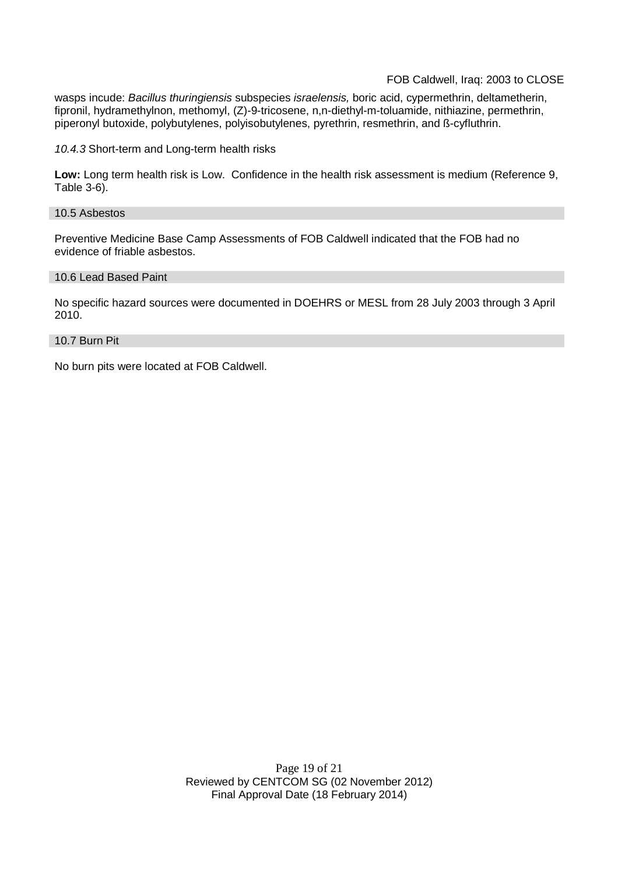wasps incude: *Bacillus thuringiensis* subspecies *israelensis,* boric acid, cypermethrin, deltametherin, fipronil, hydramethylnon, methomyl, (Z)-9-tricosene, n,n-diethyl-m-toluamide, nithiazine, permethrin, piperonyl butoxide, polybutylenes, polyisobutylenes, pyrethrin, resmethrin, and ß-cyfluthrin.

*10.4.3* Short-term and Long-term health risks

**Low:** Long term health risk is Low. Confidence in the health risk assessment is medium (Reference 9, Table 3-6).

#### 10.5 Asbestos

Preventive Medicine Base Camp Assessments of FOB Caldwell indicated that the FOB had no evidence of friable asbestos.

#### 10.6 Lead Based Paint

No specific hazard sources were documented in DOEHRS or MESL from 28 July 2003 through 3 April 2010.

#### 10.7 Burn Pit

No burn pits were located at FOB Caldwell.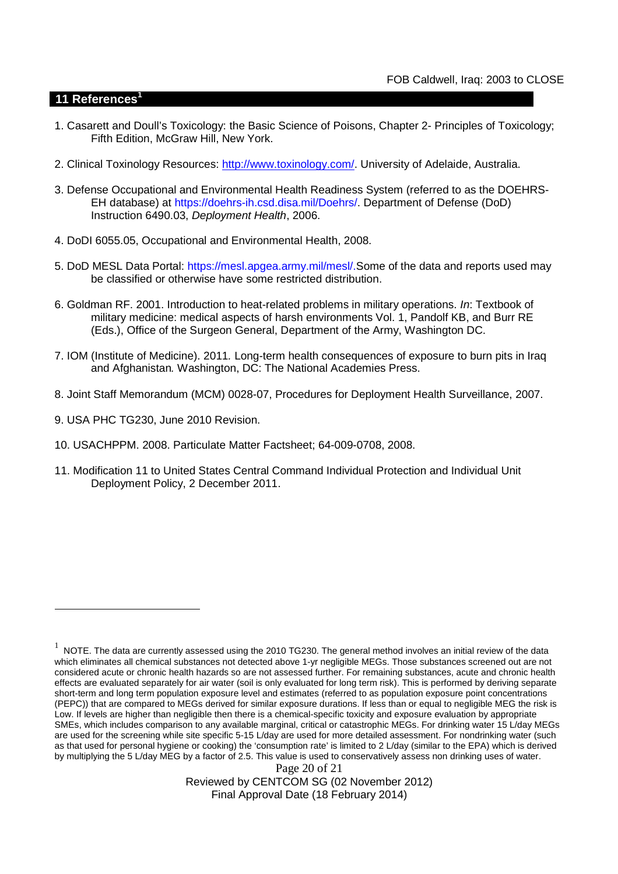# **11 References<sup>1</sup>**

- 1. Casarett and Doull's Toxicology: the Basic Science of Poisons, Chapter 2- Principles of Toxicology; Fifth Edition, McGraw Hill, New York.
- 2. Clinical Toxinology Resources: http://www.toxinology.com/. University of Adelaide, Australia.
- 3. Defense Occupational and Environmental Health Readiness System (referred to as the DOEHRS-EH database) at https://doehrs-ih.csd.disa.mil/Doehrs/. Department of Defense (DoD) Instruction 6490.03, *Deployment Health*, 2006.
- 4. DoDI 6055.05, Occupational and Environmental Health, 2008.
- 5. DoD MESL Data Portal: https://mesl.apgea.army.mil/mesl/.Some of the data and reports used may be classified or otherwise have some restricted distribution.
- 6. Goldman RF. 2001. Introduction to heat-related problems in military operations. *In*: Textbook of military medicine: medical aspects of harsh environments Vol. 1, Pandolf KB, and Burr RE (Eds.), Office of the Surgeon General, Department of the Army, Washington DC.
- 7. IOM (Institute of Medicine). 2011*.* Long-term health consequences of exposure to burn pits in Iraq and Afghanistan*.* Washington, DC: The National Academies Press.
- 8. Joint Staff Memorandum (MCM) 0028-07, Procedures for Deployment Health Surveillance, 2007.
- 9. USA PHC TG230, June 2010 Revision.
- 10. USACHPPM. 2008. Particulate Matter Factsheet; 64-009-0708, 2008.
- 11. Modification 11 to United States Central Command Individual Protection and Individual Unit Deployment Policy, 2 December 2011.

Reviewed by CENTCOM SG (02 November 2012) Final Approval Date (18 February 2014)

Page 20 of 21  $^1$  NOTE. The data are currently assessed using the 2010 TG230. The general method involves an initial review of the data which eliminates all chemical substances not detected above 1-yr negligible MEGs. Those substances screened out are not considered acute or chronic health hazards so are not assessed further. For remaining substances, acute and chronic health effects are evaluated separately for air water (soil is only evaluated for long term risk). This is performed by deriving separate short-term and long term population exposure level and estimates (referred to as population exposure point concentrations (PEPC)) that are compared to MEGs derived for similar exposure durations. If less than or equal to negligible MEG the risk is Low. If levels are higher than negligible then there is a chemical-specific toxicity and exposure evaluation by appropriate SMEs, which includes comparison to any available marginal, critical or catastrophic MEGs. For drinking water 15 L/day MEGs are used for the screening while site specific 5-15 L/day are used for more detailed assessment. For nondrinking water (such as that used for personal hygiene or cooking) the 'consumption rate' is limited to 2 L/day (similar to the EPA) which is derived by multiplying the 5 L/day MEG by a factor of 2.5. This value is used to conservatively assess non drinking uses of water.